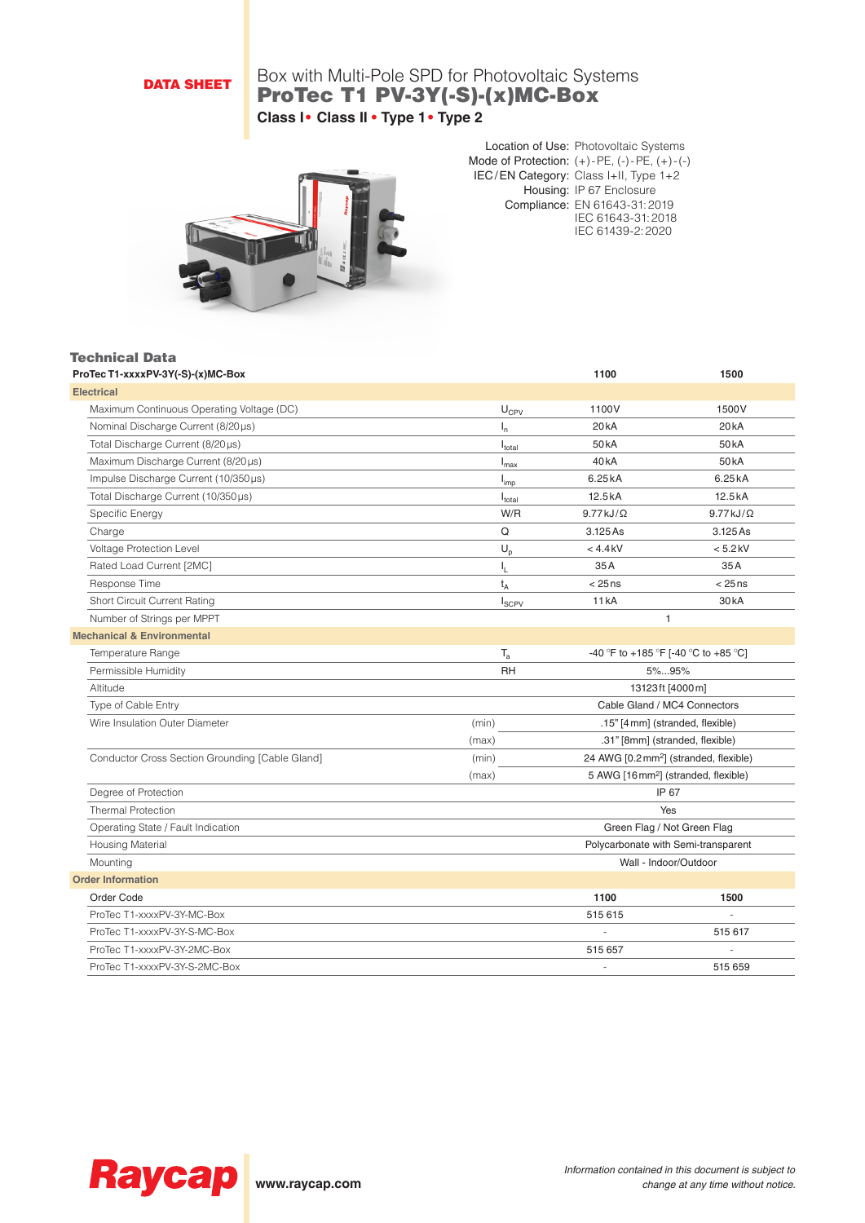## DATA SHEET

# Box with Multi-Pole SPD for Photovoltaic Systems ProTec T1 PV-3Y(-S)-(x)MC-Box **Class I• Class II • Type 1• Type 2**



Location of Use: Photovoltaic Systems Mode of Protection: (+)-PE, (-)-PE, (+)-(-) IEC/EN Category: Class I+II, Type 1+2 Housing: IP 67 Enclosure Compliance: EN 61643-31:2019 IEC 61643-31:2018 IEC 61439-2:2020

#### Technical Data

| ProTec T1-xxxxPV-3Y(-S)-(x)MC-Box               |                             | 1100              | 1500                                               |
|-------------------------------------------------|-----------------------------|-------------------|----------------------------------------------------|
| <b>Electrical</b>                               |                             |                   |                                                    |
| Maximum Continuous Operating Voltage (DC)       | $U_{CPV}$                   | 1100V             | 1500V                                              |
| Nominal Discharge Current (8/20 µs)             | $I_n$                       | 20 <sub>k</sub> A | 20 <sub>k</sub> A                                  |
| Total Discharge Current (8/20µs)                | $I_{\text{total}}$          | 50 <sub>k</sub> A | 50 <sub>k</sub> A                                  |
| Maximum Discharge Current (8/20µs)              | $I_{\sf max}$               | 40 <sub>k</sub> A | 50 <sub>k</sub> A                                  |
| Impulse Discharge Current (10/350µs)            | I <sub>imp</sub>            | 6.25kA            | 6.25kA                                             |
| Total Discharge Current (10/350 µs)             | $I_{\text{total}}$          | 12.5kA            | 12.5kA                                             |
| Specific Energy                                 | W/R                         | $9.77 kJ/\Omega$  | $9.77 kJ/\Omega$                                   |
| Charge                                          | Q                           | 3.125 As          | 3.125 As                                           |
| Voltage Protection Level                        | $U_p$                       | $<$ 4.4 kV        | $< 5.2$ kV                                         |
| Rated Load Current [2MC]                        | ı.                          | 35A               | 35A                                                |
| Response Time                                   | $t_A$                       | $< 25$ ns         | $< 25$ ns                                          |
| Short Circuit Current Rating                    | $I_{SCPV}$                  | <b>11 kA</b>      | 30 <sub>k</sub> A                                  |
| Number of Strings per MPPT                      |                             |                   | $\mathbf{1}$                                       |
| <b>Mechanical &amp; Environmental</b>           |                             |                   |                                                    |
| Temperature Range                               | $T_{\rm a}$                 |                   | -40 °F to +185 °F [-40 °C to +85 °C]               |
| Permissible Humidity                            | <b>RH</b>                   |                   | 5%95%                                              |
| Altitude                                        |                             |                   | 13123ft [4000m]                                    |
| Type of Cable Entry                             |                             |                   | Cable Gland / MC4 Connectors                       |
| Wire Insulation Outer Diameter                  | (min)                       |                   | .15" [4 mm] (stranded, flexible)                   |
|                                                 | (max)                       |                   | .31" [8mm] (stranded, flexible)                    |
| Conductor Cross Section Grounding [Cable Gland] | (min)                       |                   | 24 AWG [0.2 mm <sup>2</sup> ] (stranded, flexible) |
|                                                 | (max)                       |                   | 5 AWG [16 mm <sup>2</sup> ] (stranded, flexible)   |
| Degree of Protection                            |                             |                   | IP 67                                              |
| <b>Thermal Protection</b>                       |                             |                   | Yes                                                |
| Operating State / Fault Indication              | Green Flag / Not Green Flag |                   |                                                    |
| <b>Housing Material</b>                         |                             |                   | Polycarbonate with Semi-transparent                |
| Mounting                                        |                             |                   | Wall - Indoor/Outdoor                              |
| <b>Order Information</b>                        |                             |                   |                                                    |
| Order Code                                      |                             | 1100              | 1500                                               |
| ProTec T1-xxxxPV-3Y-MC-Box                      |                             | 515 615           |                                                    |
| ProTec T1-xxxxPV-3Y-S-MC-Box                    |                             |                   | 515 617                                            |
| ProTec T1-xxxxPV-3Y-2MC-Box                     |                             | 515 657           |                                                    |
| ProTec T1-xxxxPV-3Y-S-2MC-Box                   |                             | $\overline{a}$    | 515 659                                            |